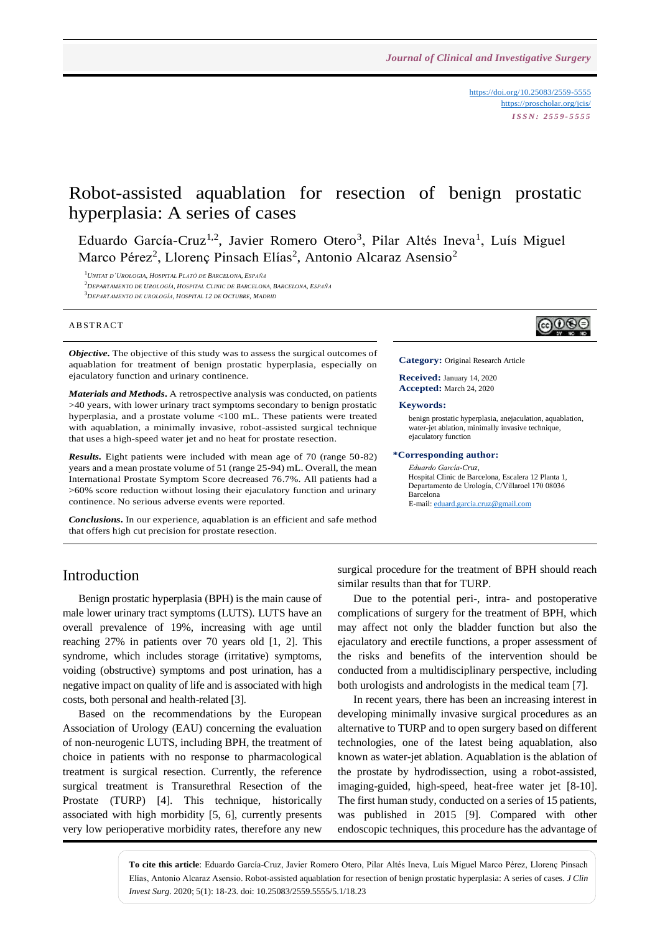<https://doi.org/10.25083/2559-5555> <https://proscholar.org/jcis/> *I S S N : 2 5 5 9 - 5 5 5 5*

ெ⊛

# Robot-assisted aquablation for resection of benign prostatic hyperplasia: A series of cases

Eduardo García-Cruz<sup>1,2</sup>, Javier Romero Otero<sup>3</sup>, Pilar Altés Ineva<sup>1</sup>, Luís Miguel Marco Pérez<sup>2</sup>, Llorenç Pinsach Elías<sup>2</sup>, Antonio Alcaraz Asensio<sup>2</sup>

<sup>1</sup>*UNITAT D´UROLOGIA, HOSPITAL PLATÓ DE BARCELONA, ESPAÑA*

<sup>2</sup>*DEPARTAMENTO DE UROLOGÍA, HOSPITAL CLINIC DE BARCELONA, BARCELONA, ESPAÑA* <sup>3</sup>*DEPARTAMENTO DE UROLOGÍA, HOSPITAL 12 DE OCTUBRE, MADRID*

#### **ABSTRACT**

*Objective*. The objective of this study was to assess the surgical outcomes of aquablation for treatment of benign prostatic hyperplasia, especially on ejaculatory function and urinary continence.

*Materials and Methods.* A retrospective analysis was conducted, on patients >40 years, with lower urinary tract symptoms secondary to benign prostatic hyperplasia, and a prostate volume <100 mL. These patients were treated with aquablation, a minimally invasive, robot-assisted surgical technique that uses a high-speed water jet and no heat for prostate resection.

*Results.* Eight patients were included with mean age of 70 (range 50-82) years and a mean prostate volume of 51 (range 25-94) mL. Overall, the mean International Prostate Symptom Score decreased 76.7%. All patients had a >60% score reduction without losing their ejaculatory function and urinary continence. No serious adverse events were reported.

*Conclusions.* In our experience, aquablation is an efficient and safe method that offers high cut precision for prostate resection.

#### **Category:** Original Research Article

#### **Received:** January 14, 2020 **Accepted:** March 24, 2020

#### **Keywords:**

benign prostatic hyperplasia, anejaculation, aquablation, water-jet ablation, minimally invasive technique, ejaculatory function

#### **\*Corresponding author:**

*Eduardo García-Cruz,* Hospital Clinic de Barcelona, Escalera 12 Planta 1, Departamento de Urología, C/Villaroel 170 08036 Barcelona E-mail[: eduard.garcia.cruz@gmail.com](mailto:eduard.garcia.cruz@gmail.com)

### Introduction

Benign prostatic hyperplasia (BPH) is the main cause of male lower urinary tract symptoms (LUTS). LUTS have an overall prevalence of 19%, increasing with age until reaching 27% in patients over 70 years old [1, 2]. This syndrome, which includes storage (irritative) symptoms, voiding (obstructive) symptoms and post urination, has a negative impact on quality of life and is associated with high costs, both personal and health-related [3].

Based on the recommendations by the European Association of Urology (EAU) concerning the evaluation of non-neurogenic LUTS, including BPH, the treatment of choice in patients with no response to pharmacological treatment is surgical resection. Currently, the reference surgical treatment is Transurethral Resection of the Prostate (TURP) [4]. This technique, historically associated with high morbidity [5, 6], currently presents very low perioperative morbidity rates, therefore any new surgical procedure for the treatment of BPH should reach similar results than that for TURP.

Due to the potential peri-, intra- and postoperative complications of surgery for the treatment of BPH, which may affect not only the bladder function but also the ejaculatory and erectile functions, a proper assessment of the risks and benefits of the intervention should be conducted from a multidisciplinary perspective, including both urologists and andrologists in the medical team [7].

In recent years, there has been an increasing interest in developing minimally invasive surgical procedures as an alternative to TURP and to open surgery based on different technologies, one of the latest being aquablation, also known as water-jet ablation. Aquablation is the ablation of the prostate by hydrodissection, using a robot-assisted, imaging-guided, high-speed, heat-free water jet [8-10]. The first human study, conducted on a series of 15 patients, was published in 2015 [9]. Compared with other endoscopic techniques, this procedure has the advantage of

**To cite this article**: Eduardo García-Cruz, Javier Romero Otero, Pilar Altés Ineva, Luís Miguel Marco Pérez, Llorenç Pinsach Elías, Antonio Alcaraz Asensio. Robot-assisted aquablation for resection of benign prostatic hyperplasia: A series of cases. *J Clin Invest Surg*. 2020; 5(1): 18-23. doi: 10.25083/2559.5555/5.1/18.23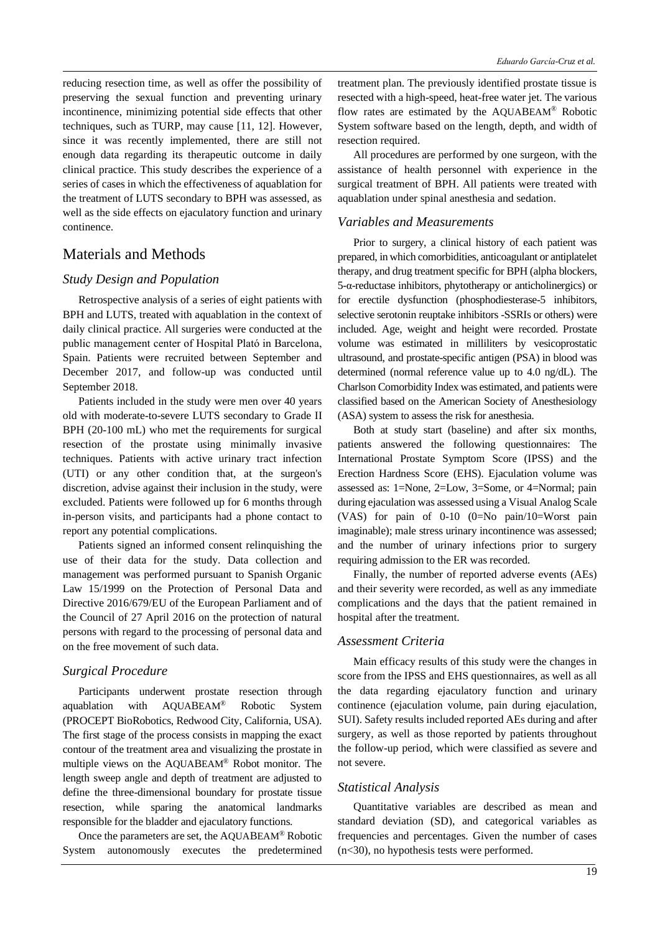reducing resection time, as well as offer the possibility of preserving the sexual function and preventing urinary incontinence, minimizing potential side effects that other techniques, such as TURP, may cause [11, 12]. However, since it was recently implemented, there are still not enough data regarding its therapeutic outcome in daily clinical practice. This study describes the experience of a series of cases in which the effectiveness of aquablation for the treatment of LUTS secondary to BPH was assessed, as well as the side effects on ejaculatory function and urinary continence.

## Materials and Methods

### *Study Design and Population*

Retrospective analysis of a series of eight patients with BPH and LUTS, treated with aquablation in the context of daily clinical practice. All surgeries were conducted at the public management center of Hospital Plató in Barcelona, Spain. Patients were recruited between September and December 2017, and follow-up was conducted until September 2018.

Patients included in the study were men over 40 years old with moderate-to-severe LUTS secondary to Grade II BPH (20-100 mL) who met the requirements for surgical resection of the prostate using minimally invasive techniques. Patients with active urinary tract infection (UTI) or any other condition that, at the surgeon's discretion, advise against their inclusion in the study, were excluded. Patients were followed up for 6 months through in-person visits, and participants had a phone contact to report any potential complications.

Patients signed an informed consent relinquishing the use of their data for the study. Data collection and management was performed pursuant to Spanish Organic Law 15/1999 on the Protection of Personal Data and Directive 2016/679/EU of the European Parliament and of the Council of 27 April 2016 on the protection of natural persons with regard to the processing of personal data and on the free movement of such data.

#### *Surgical Procedure*

Participants underwent prostate resection through aquablation with AQUABEAM® Robotic System (PROCEPT BioRobotics, Redwood City, California, USA). The first stage of the process consists in mapping the exact contour of the treatment area and visualizing the prostate in multiple views on the AQUABEAM® Robot monitor. The length sweep angle and depth of treatment are adjusted to define the three-dimensional boundary for prostate tissue resection, while sparing the anatomical landmarks responsible for the bladder and ejaculatory functions.

Once the parameters are set, the AQUABEAM® Robotic System autonomously executes the predetermined

treatment plan. The previously identified prostate tissue is resected with a high-speed, heat-free water jet. The various flow rates are estimated by the AQUABEAM® Robotic System software based on the length, depth, and width of resection required.

All procedures are performed by one surgeon, with the assistance of health personnel with experience in the surgical treatment of BPH. All patients were treated with aquablation under spinal anesthesia and sedation.

### *Variables and Measurements*

Prior to surgery, a clinical history of each patient was prepared, in which comorbidities, anticoagulant or antiplatelet therapy, and drug treatment specific for BPH (alpha blockers, 5-α-reductase inhibitors, phytotherapy or anticholinergics) or for erectile dysfunction (phosphodiesterase-5 inhibitors, selective serotonin reuptake inhibitors -SSRIs or others) were included. Age, weight and height were recorded. Prostate volume was estimated in milliliters by vesicoprostatic ultrasound, and prostate-specific antigen (PSA) in blood was determined (normal reference value up to 4.0 ng/dL). The Charlson Comorbidity Index was estimated, and patients were classified based on the American Society of Anesthesiology (ASA) system to assess the risk for anesthesia.

Both at study start (baseline) and after six months, patients answered the following questionnaires: The International Prostate Symptom Score (IPSS) and the Erection Hardness Score (EHS). Ejaculation volume was assessed as: 1=None, 2=Low, 3=Some, or 4=Normal; pain during ejaculation was assessed using a Visual Analog Scale (VAS) for pain of 0-10 (0=No pain/10=Worst pain imaginable); male stress urinary incontinence was assessed; and the number of urinary infections prior to surgery requiring admission to the ER was recorded.

Finally, the number of reported adverse events (AEs) and their severity were recorded, as well as any immediate complications and the days that the patient remained in hospital after the treatment.

### *Assessment Criteria*

Main efficacy results of this study were the changes in score from the IPSS and EHS questionnaires, as well as all the data regarding ejaculatory function and urinary continence (ejaculation volume, pain during ejaculation, SUI). Safety results included reported AEs during and after surgery, as well as those reported by patients throughout the follow-up period, which were classified as severe and not severe.

#### *Statistical Analysis*

Quantitative variables are described as mean and standard deviation (SD), and categorical variables as frequencies and percentages. Given the number of cases (n<30), no hypothesis tests were performed.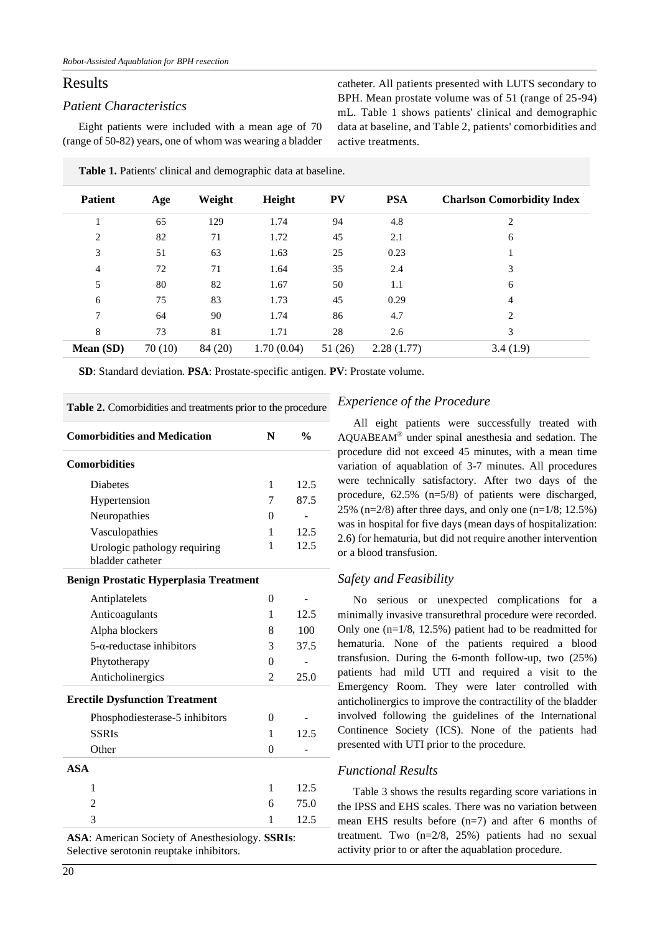## Results

### *Patient Characteristics*

Eight patients were included with a mean age of 70 (range of 50-82) years, one of whom was wearing a bladder catheter. All patients presented with LUTS secondary to BPH. Mean prostate volume was of 51 (range of 25-94) mL. Table 1 shows patients' clinical and demographic data at baseline, and Table 2, patients' comorbidities and active treatments.

| <b>Patient</b> | Age    | Weight  | Height     | <b>PV</b> | <b>PSA</b> | <b>Charlson Comorbidity Index</b> |
|----------------|--------|---------|------------|-----------|------------|-----------------------------------|
|                | 65     | 129     | 1.74       | 94        | 4.8        | $\overline{2}$                    |
| 2              | 82     | 71      | 1.72       | 45        | 2.1        | 6                                 |
| 3              | 51     | 63      | 1.63       | 25        | 0.23       |                                   |
| $\overline{4}$ | 72     | 71      | 1.64       | 35        | 2.4        | 3                                 |
| 5              | 80     | 82      | 1.67       | 50        | 1.1        | 6                                 |
| 6              | 75     | 83      | 1.73       | 45        | 0.29       | 4                                 |
| 7              | 64     | 90      | 1.74       | 86        | 4.7        | $\overline{c}$                    |
| 8              | 73     | 81      | 1.71       | 28        | 2.6        | 3                                 |
| Mean (SD)      | 70(10) | 84 (20) | 1.70(0.04) | 51(26)    | 2.28(1.77) | 3.4(1.9)                          |

**Table 1.** Patients' clinical and demographic data at baseline.

**SD**: Standard deviation. **PSA**: Prostate-specific antigen. **PV**: Prostate volume.

| <b>Comorbidities and Medication</b>              | N        | $\frac{0}{0}$ |
|--------------------------------------------------|----------|---------------|
| <b>Comorbidities</b>                             |          |               |
| <b>Diabetes</b>                                  | 1        | 12.5          |
| Hypertension                                     | 7        | 87.5          |
| Neuropathies                                     | 0        |               |
| Vasculopathies                                   | 1        | 12.5          |
| Urologic pathology requiring<br>bladder catheter | 1        | 12.5          |
| <b>Benign Prostatic Hyperplasia Treatment</b>    |          |               |
| Antiplatelets                                    | $\theta$ |               |
| Anticoagulants                                   | 1        | 12.5          |
| Alpha blockers                                   | 8        | 100           |
| $5$ - $\alpha$ -reductase inhibitors             | 3        | 37.5          |
| Phytotherapy                                     | $\theta$ |               |
| Anticholinergics                                 | 2        | 25.0          |
| <b>Erectile Dysfunction Treatment</b>            |          |               |
| Phosphodiesterase-5 inhibitors                   | $\theta$ |               |
| <b>SSRIs</b>                                     | 1        | 12.5          |
| Other                                            | 0        |               |
| <b>ASA</b>                                       |          |               |
| 1                                                | 1        | 12.5          |
| 2                                                | 6        | 75.0          |
| 3                                                | 1        | 12.5          |

**Table 2.** Comorbidities and treatments prior to the procedure

**ASA**: American Society of Anesthesiology. **SSRIs**: Selective serotonin reuptake inhibitors.

### *Experience of the Procedure*

All eight patients were successfully treated with AQUABEAM® under spinal anesthesia and sedation. The procedure did not exceed 45 minutes, with a mean time variation of aquablation of 3-7 minutes. All procedures were technically satisfactory. After two days of the procedure, 62.5% (n=5/8) of patients were discharged, 25% (n=2/8) after three days, and only one (n=1/8; 12.5%) was in hospital for five days (mean days of hospitalization: 2.6) for hematuria, but did not require another intervention or a blood transfusion.

### *Safety and Feasibility*

No serious or unexpected complications for a minimally invasive transurethral procedure were recorded. Only one (n=1/8, 12.5%) patient had to be readmitted for hematuria. None of the patients required a blood transfusion. During the 6-month follow-up, two (25%) patients had mild UTI and required a visit to the Emergency Room. They were later controlled with anticholinergics to improve the contractility of the bladder involved following the guidelines of the International Continence Society (ICS). None of the patients had presented with UTI prior to the procedure.

### *Functional Results*

Table 3 shows the results regarding score variations in the IPSS and EHS scales. There was no variation between mean EHS results before (n=7) and after 6 months of treatment. Two (n=2/8, 25%) patients had no sexual activity prior to or after the aquablation procedure.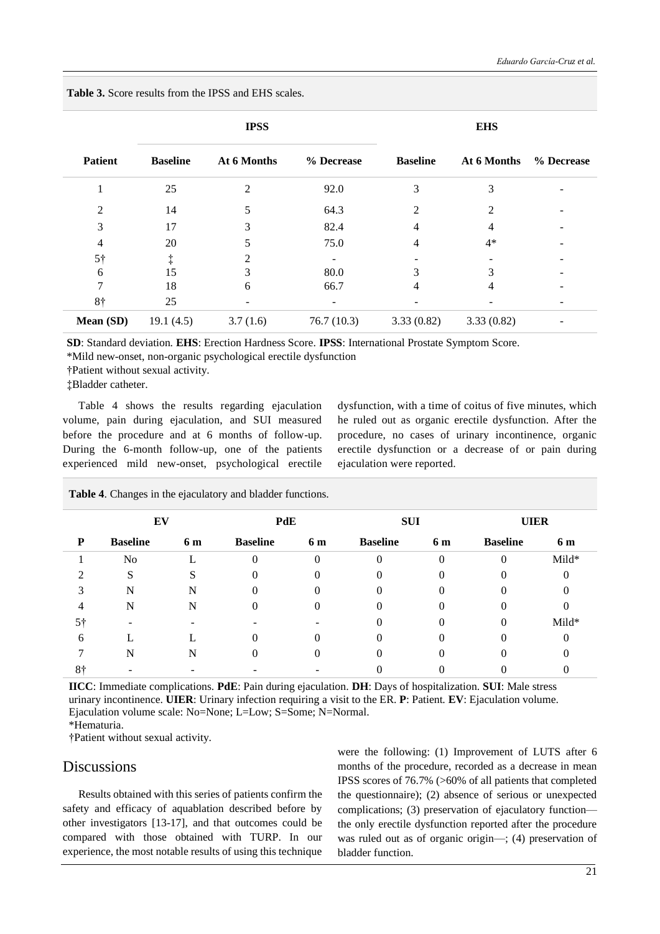|                |                 | <b>IPSS</b>    |            | <b>EHS</b>      |             |            |  |
|----------------|-----------------|----------------|------------|-----------------|-------------|------------|--|
| <b>Patient</b> | <b>Baseline</b> | At 6 Months    | % Decrease | <b>Baseline</b> | At 6 Months | % Decrease |  |
|                | 25              | $\mathfrak{D}$ | 92.0       | 3               | 3           |            |  |
| 2              | 14              | 5              | 64.3       | $\mathfrak{D}$  | 2           |            |  |
| 3              | 17              | 3              | 82.4       | 4               |             |            |  |
| 4              | 20              |                | 75.0       | 4               | $4*$        |            |  |
| 5 <sup>†</sup> | ţ               | 2              |            |                 |             |            |  |
| 6              | 15              | 3              | 80.0       |                 | 3           |            |  |
|                | 18              | 6              | 66.7       | 4               | 4           |            |  |
| 8†             | 25              |                |            |                 |             |            |  |
| Mean (SD)      | 19.1(4.5)       | 3.7(1.6)       | 76.7(10.3) | 3.33(0.82)      | 3.33(0.82)  |            |  |

**Table 3.** Score results from the IPSS and EHS scales.

**SD**: Standard deviation. **EHS**: Erection Hardness Score. **IPSS**: International Prostate Symptom Score.

\*Mild new-onset, non-organic psychological erectile dysfunction

†Patient without sexual activity.

‡Bladder catheter.

Table 4 shows the results regarding ejaculation volume, pain during ejaculation, and SUI measured before the procedure and at 6 months of follow-up. During the 6-month follow-up, one of the patients experienced mild new-onset, psychological erectile dysfunction, with a time of coitus of five minutes, which he ruled out as organic erectile dysfunction. After the procedure, no cases of urinary incontinence, organic erectile dysfunction or a decrease of or pain during ejaculation were reported.

|    | EV              |     | PdE             |          | <b>SUI</b>      |     | <b>UIER</b>     |       |
|----|-----------------|-----|-----------------|----------|-----------------|-----|-----------------|-------|
| P  | <b>Baseline</b> | 6 m | <b>Baseline</b> | 6 m      | <b>Baseline</b> | 6 m | <b>Baseline</b> | 6 m   |
|    | N <sub>o</sub>  |     |                 | $\Omega$ |                 | 0   | $\Omega$        | Mild* |
|    | S               |     |                 |          |                 |     |                 |       |
|    | N               | N   |                 |          |                 |     |                 |       |
|    | N               | N   |                 |          |                 |     |                 |       |
| 5† |                 |     |                 |          |                 |     | 0               | Mild* |
| h  |                 |     |                 |          |                 |     |                 |       |
|    | N               | N   |                 |          |                 |     |                 |       |
| 8† |                 |     |                 |          |                 |     |                 |       |

**Table 4**. Changes in the ejaculatory and bladder functions.

**IICC**: Immediate complications. **PdE**: Pain during ejaculation. **DH**: Days of hospitalization. **SUI**: Male stress urinary incontinence. **UIER**: Urinary infection requiring a visit to the ER. **P**: Patient. **EV**: Ejaculation volume. Ejaculation volume scale: No=None; L=Low; S=Some; N=Normal.

\*Hematuria.

†Patient without sexual activity.

## **Discussions**

Results obtained with this series of patients confirm the safety and efficacy of aquablation described before by other investigators [13-17], and that outcomes could be compared with those obtained with TURP. In our experience, the most notable results of using this technique were the following: (1) Improvement of LUTS after 6 months of the procedure, recorded as a decrease in mean IPSS scores of 76.7% (>60% of all patients that completed the questionnaire); (2) absence of serious or unexpected complications; (3) preservation of ejaculatory function the only erectile dysfunction reported after the procedure was ruled out as of organic origin—; (4) preservation of bladder function.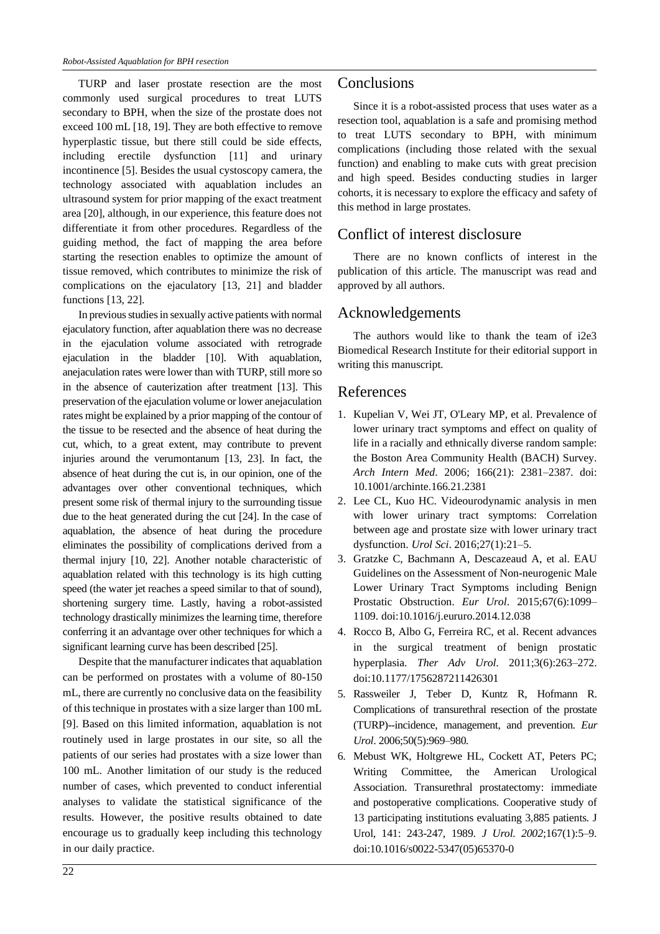TURP and laser prostate resection are the most commonly used surgical procedures to treat LUTS secondary to BPH, when the size of the prostate does not exceed 100 mL [18, 19]. They are both effective to remove hyperplastic tissue, but there still could be side effects, including erectile dysfunction [11] and urinary incontinence [5]. Besides the usual cystoscopy camera, the technology associated with aquablation includes an ultrasound system for prior mapping of the exact treatment area [20], although, in our experience, this feature does not differentiate it from other procedures. Regardless of the guiding method, the fact of mapping the area before starting the resection enables to optimize the amount of tissue removed, which contributes to minimize the risk of complications on the ejaculatory [13, 21] and bladder functions [13, 22].

In previous studies in sexually active patients with normal ejaculatory function, after aquablation there was no decrease in the ejaculation volume associated with retrograde ejaculation in the bladder [10]. With aquablation, anejaculation rates were lower than with TURP, still more so in the absence of cauterization after treatment [13]. This preservation of the ejaculation volume or lower anejaculation rates might be explained by a prior mapping of the contour of the tissue to be resected and the absence of heat during the cut, which, to a great extent, may contribute to prevent injuries around the verumontanum [13, 23]. In fact, the absence of heat during the cut is, in our opinion, one of the advantages over other conventional techniques, which present some risk of thermal injury to the surrounding tissue due to the heat generated during the cut [24]. In the case of aquablation, the absence of heat during the procedure eliminates the possibility of complications derived from a thermal injury [10, 22]. Another notable characteristic of aquablation related with this technology is its high cutting speed (the water jet reaches a speed similar to that of sound), shortening surgery time. Lastly, having a robot-assisted technology drastically minimizes the learning time, therefore conferring it an advantage over other techniques for which a significant learning curve has been described [25].

Despite that the manufacturer indicates that aquablation can be performed on prostates with a volume of 80-150 mL, there are currently no conclusive data on the feasibility of this technique in prostates with a size larger than 100 mL [9]. Based on this limited information, aquablation is not routinely used in large prostates in our site, so all the patients of our series had prostates with a size lower than 100 mL. Another limitation of our study is the reduced number of cases, which prevented to conduct inferential analyses to validate the statistical significance of the results. However, the positive results obtained to date encourage us to gradually keep including this technology in our daily practice.

## Conclusions

Since it is a robot-assisted process that uses water as a resection tool, aquablation is a safe and promising method to treat LUTS secondary to BPH, with minimum complications (including those related with the sexual function) and enabling to make cuts with great precision and high speed. Besides conducting studies in larger cohorts, it is necessary to explore the efficacy and safety of this method in large prostates.

## Conflict of interest disclosure

There are no known conflicts of interest in the publication of this article. The manuscript was read and approved by all authors.

## Acknowledgements

The authors would like to thank the team of i2e3 Biomedical Research Institute for their editorial support in writing this manuscript.

## References

- 1. Kupelian V, Wei JT, O'Leary MP, et al. Prevalence of lower urinary tract symptoms and effect on quality of life in a racially and ethnically diverse random sample: the Boston Area Community Health (BACH) Survey. *Arch Intern Med*. 2006; 166(21): 2381–2387. doi: 10.1001/archinte.166.21.2381
- 2. Lee CL, Kuo HC. Videourodynamic analysis in men with lower urinary tract symptoms: Correlation between age and prostate size with lower urinary tract dysfunction. *Urol Sci*. 2016;27(1):21–5.
- 3. Gratzke C, Bachmann A, Descazeaud A, et al. EAU Guidelines on the Assessment of Non-neurogenic Male Lower Urinary Tract Symptoms including Benign Prostatic Obstruction. *Eur Urol*. 2015;67(6):1099– 1109. doi:10.1016/j.eururo.2014.12.038
- 4. Rocco B, Albo G, Ferreira RC, et al. Recent advances in the surgical treatment of benign prostatic hyperplasia. *Ther Adv Urol*. 2011;3(6):263–272. doi:10.1177/1756287211426301
- 5. Rassweiler J, Teber D, Kuntz R, Hofmann R. Complications of transurethral resection of the prostate (TURP)--incidence, management, and prevention. *Eur Urol*. 2006;50(5):969–980.
- 6. Mebust WK, Holtgrewe HL, Cockett AT, Peters PC; Writing Committee, the American Urological Association. Transurethral prostatectomy: immediate and postoperative complications. Cooperative study of 13 participating institutions evaluating 3,885 patients. J Urol, 141: 243-247, 1989. *J Urol. 2002*;167(1):5–9. doi:10.1016/s0022-5347(05)65370-0